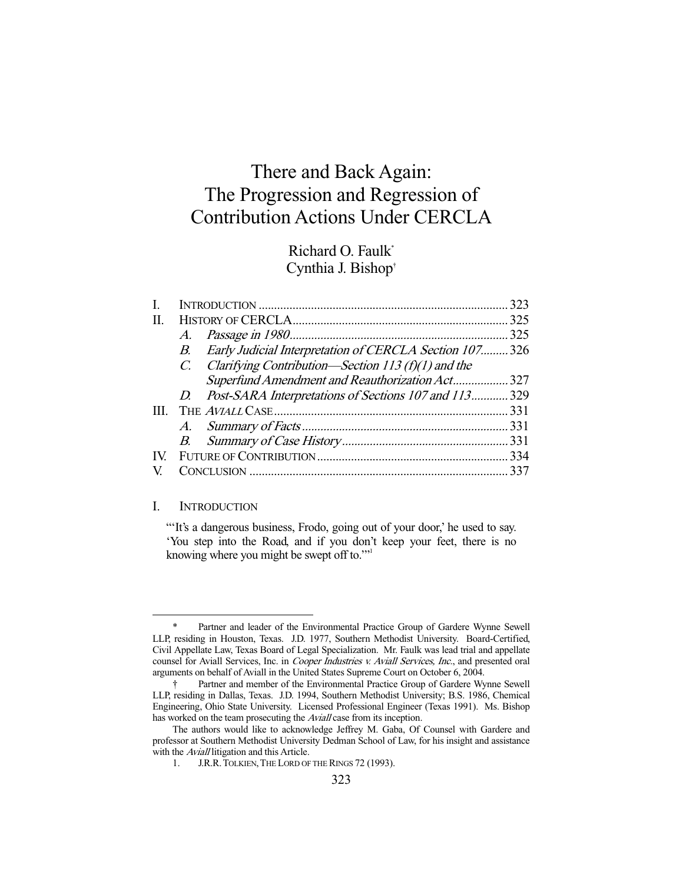# There and Back Again: The Progression and Regression of Contribution Actions Under CERCLA

# Richard O. Faulk\* Cynthia J. Bishop†

| H. |  |                                                                                                                                                                                                                                     |
|----|--|-------------------------------------------------------------------------------------------------------------------------------------------------------------------------------------------------------------------------------------|
|    |  | 325                                                                                                                                                                                                                                 |
| B. |  |                                                                                                                                                                                                                                     |
|    |  |                                                                                                                                                                                                                                     |
|    |  |                                                                                                                                                                                                                                     |
|    |  |                                                                                                                                                                                                                                     |
|    |  |                                                                                                                                                                                                                                     |
|    |  |                                                                                                                                                                                                                                     |
|    |  |                                                                                                                                                                                                                                     |
|    |  |                                                                                                                                                                                                                                     |
|    |  |                                                                                                                                                                                                                                     |
|    |  | A.<br>Early Judicial Interpretation of CERCLA Section 107326<br>C. Clarifying Contribution—Section 113 (f)(1) and the<br>Superfund Amendment and Reauthorization Act 327<br>D. Post-SARA Interpretations of Sections 107 and 113329 |

# I. INTRODUCTION

-

"It's a dangerous business, Frodo, going out of your door,' he used to say. 'You step into the Road, and if you don't keep your feet, there is no knowing where you might be swept off to."<sup>1</sup>

 <sup>\*</sup> Partner and leader of the Environmental Practice Group of Gardere Wynne Sewell LLP, residing in Houston, Texas. J.D. 1977, Southern Methodist University. Board-Certified, Civil Appellate Law, Texas Board of Legal Specialization. Mr. Faulk was lead trial and appellate counsel for Aviall Services, Inc. in Cooper Industries v. Aviall Services, Inc., and presented oral arguments on behalf of Aviall in the United States Supreme Court on October 6, 2004.

 <sup>†</sup> Partner and member of the Environmental Practice Group of Gardere Wynne Sewell LLP, residing in Dallas, Texas. J.D. 1994, Southern Methodist University; B.S. 1986, Chemical Engineering, Ohio State University. Licensed Professional Engineer (Texas 1991). Ms. Bishop has worked on the team prosecuting the Aviall case from its inception.

The authors would like to acknowledge Jeffrey M. Gaba, Of Counsel with Gardere and professor at Southern Methodist University Dedman School of Law, for his insight and assistance with the *Aviall* litigation and this Article.

<sup>1.</sup> J.R.R. TOLKIEN, THE LORD OF THE RINGS 72 (1993).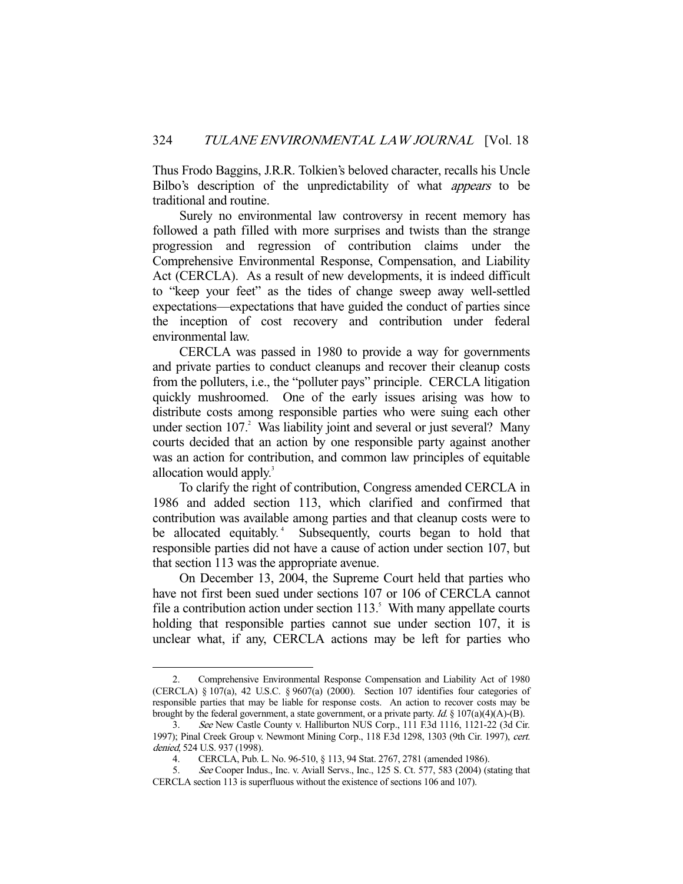Thus Frodo Baggins, J.R.R. Tolkien's beloved character, recalls his Uncle Bilbo's description of the unpredictability of what appears to be traditional and routine.

 Surely no environmental law controversy in recent memory has followed a path filled with more surprises and twists than the strange progression and regression of contribution claims under the Comprehensive Environmental Response, Compensation, and Liability Act (CERCLA). As a result of new developments, it is indeed difficult to "keep your feet" as the tides of change sweep away well-settled expectations—expectations that have guided the conduct of parties since the inception of cost recovery and contribution under federal environmental law.

 CERCLA was passed in 1980 to provide a way for governments and private parties to conduct cleanups and recover their cleanup costs from the polluters, i.e., the "polluter pays" principle. CERCLA litigation quickly mushroomed. One of the early issues arising was how to distribute costs among responsible parties who were suing each other under section  $107<sup>2</sup>$  Was liability joint and several or just several? Many courts decided that an action by one responsible party against another was an action for contribution, and common law principles of equitable allocation would apply.<sup>3</sup>

 To clarify the right of contribution, Congress amended CERCLA in 1986 and added section 113, which clarified and confirmed that contribution was available among parties and that cleanup costs were to be allocated equitably.<sup>4</sup> Subsequently, courts began to hold that responsible parties did not have a cause of action under section 107, but that section 113 was the appropriate avenue.

 On December 13, 2004, the Supreme Court held that parties who have not first been sued under sections 107 or 106 of CERCLA cannot file a contribution action under section  $113$ .<sup>5</sup> With many appellate courts holding that responsible parties cannot sue under section 107, it is unclear what, if any, CERCLA actions may be left for parties who

 <sup>2.</sup> Comprehensive Environmental Response Compensation and Liability Act of 1980 (CERCLA) § 107(a), 42 U.S.C. § 9607(a) (2000). Section 107 identifies four categories of responsible parties that may be liable for response costs. An action to recover costs may be brought by the federal government, a state government, or a private party. Id.  $\S 107(a)(4)(A)$ -(B).

 <sup>3.</sup> See New Castle County v. Halliburton NUS Corp., 111 F.3d 1116, 1121-22 (3d Cir. 1997); Pinal Creek Group v. Newmont Mining Corp., 118 F.3d 1298, 1303 (9th Cir. 1997), cert. denied, 524 U.S. 937 (1998).

 <sup>4.</sup> CERCLA, Pub. L. No. 96-510, § 113, 94 Stat. 2767, 2781 (amended 1986).

See Cooper Indus., Inc. v. Aviall Servs., Inc., 125 S. Ct. 577, 583 (2004) (stating that CERCLA section 113 is superfluous without the existence of sections 106 and 107).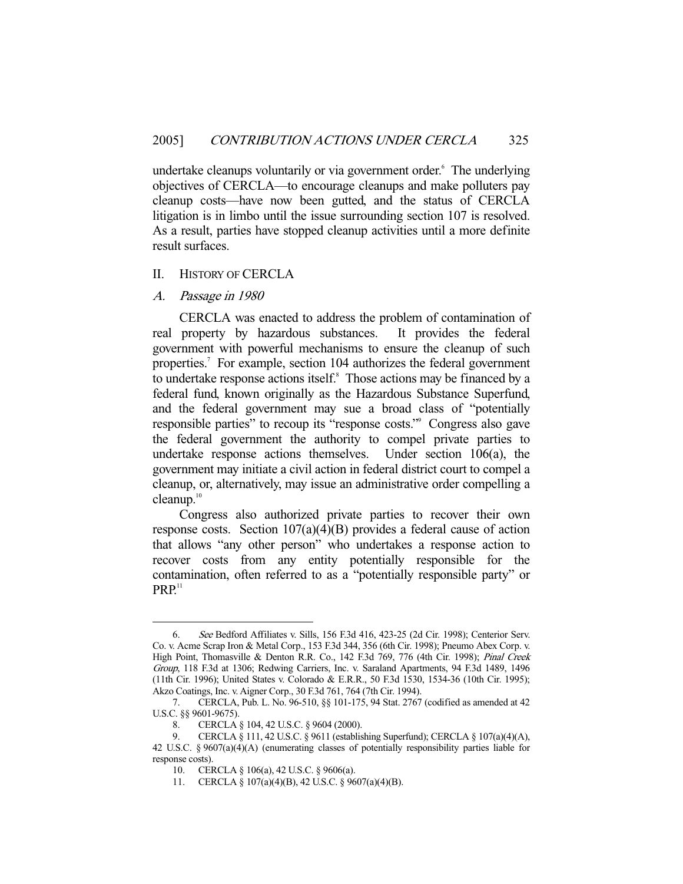undertake cleanups voluntarily or via government order.<sup>6</sup> The underlying objectives of CERCLA—to encourage cleanups and make polluters pay cleanup costs—have now been gutted, and the status of CERCLA litigation is in limbo until the issue surrounding section 107 is resolved. As a result, parties have stopped cleanup activities until a more definite result surfaces.

#### II. HISTORY OF CERCLA

A. Passage in 1980

-

 CERCLA was enacted to address the problem of contamination of real property by hazardous substances. It provides the federal government with powerful mechanisms to ensure the cleanup of such properties.<sup>7</sup> For example, section 104 authorizes the federal government to undertake response actions itself.<sup>8</sup> Those actions may be financed by a federal fund, known originally as the Hazardous Substance Superfund, and the federal government may sue a broad class of "potentially responsible parties" to recoup its "response costs." Congress also gave the federal government the authority to compel private parties to undertake response actions themselves. Under section 106(a), the government may initiate a civil action in federal district court to compel a cleanup, or, alternatively, may issue an administrative order compelling a cleanup. $10$ 

 Congress also authorized private parties to recover their own response costs. Section 107(a)(4)(B) provides a federal cause of action that allows "any other person" who undertakes a response action to recover costs from any entity potentially responsible for the contamination, often referred to as a "potentially responsible party" or  $PRP<sup>11</sup>$ 

 <sup>6.</sup> See Bedford Affiliates v. Sills, 156 F.3d 416, 423-25 (2d Cir. 1998); Centerior Serv. Co. v. Acme Scrap Iron & Metal Corp., 153 F.3d 344, 356 (6th Cir. 1998); Pneumo Abex Corp. v. High Point, Thomasville & Denton R.R. Co., 142 F.3d 769, 776 (4th Cir. 1998); Pinal Creek Group, 118 F.3d at 1306; Redwing Carriers, Inc. v. Saraland Apartments, 94 F.3d 1489, 1496 (11th Cir. 1996); United States v. Colorado & E.R.R., 50 F.3d 1530, 1534-36 (10th Cir. 1995); Akzo Coatings, Inc. v. Aigner Corp., 30 F.3d 761, 764 (7th Cir. 1994).

 <sup>7.</sup> CERCLA, Pub. L. No. 96-510, §§ 101-175, 94 Stat. 2767 (codified as amended at 42 U.S.C. §§ 9601-9675).<br>8. CERCLA

 <sup>8.</sup> CERCLA § 104, 42 U.S.C. § 9604 (2000).

 <sup>9.</sup> CERCLA § 111, 42 U.S.C. § 9611 (establishing Superfund); CERCLA § 107(a)(4)(A), 42 U.S.C. § 9607(a)(4)(A) (enumerating classes of potentially responsibility parties liable for response costs).

 <sup>10.</sup> CERCLA § 106(a), 42 U.S.C. § 9606(a).

 <sup>11.</sup> CERCLA § 107(a)(4)(B), 42 U.S.C. § 9607(a)(4)(B).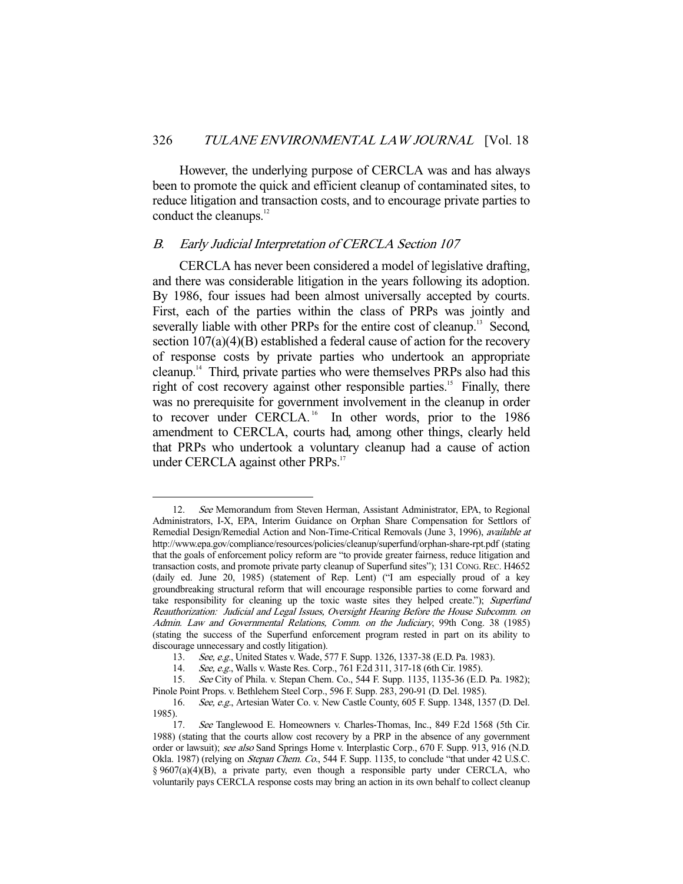However, the underlying purpose of CERCLA was and has always been to promote the quick and efficient cleanup of contaminated sites, to reduce litigation and transaction costs, and to encourage private parties to conduct the cleanups.<sup>12</sup>

#### B. Early Judicial Interpretation of CERCLA Section 107

-

 CERCLA has never been considered a model of legislative drafting, and there was considerable litigation in the years following its adoption. By 1986, four issues had been almost universally accepted by courts. First, each of the parties within the class of PRPs was jointly and severally liable with other PRPs for the entire cost of cleanup.<sup>13</sup> Second, section 107(a)(4)(B) established a federal cause of action for the recovery of response costs by private parties who undertook an appropriate cleanup.14 Third, private parties who were themselves PRPs also had this right of cost recovery against other responsible parties.<sup>15</sup> Finally, there was no prerequisite for government involvement in the cleanup in order to recover under CERCLA.<sup>16</sup> In other words, prior to the 1986 amendment to CERCLA, courts had, among other things, clearly held that PRPs who undertook a voluntary cleanup had a cause of action under CERCLA against other PRPs.<sup>17</sup>

<sup>12.</sup> See Memorandum from Steven Herman, Assistant Administrator, EPA, to Regional Administrators, I-X, EPA, Interim Guidance on Orphan Share Compensation for Settlors of Remedial Design/Remedial Action and Non-Time-Critical Removals (June 3, 1996), available at http://www.epa.gov/compliance/resources/policies/cleanup/superfund/orphan-share-rpt.pdf (stating that the goals of enforcement policy reform are "to provide greater fairness, reduce litigation and transaction costs, and promote private party cleanup of Superfund sites"); 131 CONG. REC. H4652 (daily ed. June 20, 1985) (statement of Rep. Lent) ("I am especially proud of a key groundbreaking structural reform that will encourage responsible parties to come forward and take responsibility for cleaning up the toxic waste sites they helped create."); Superfund Reauthorization: Judicial and Legal Issues, Oversight Hearing Before the House Subcomm. on Admin. Law and Governmental Relations, Comm. on the Judiciary, 99th Cong. 38 (1985) (stating the success of the Superfund enforcement program rested in part on its ability to discourage unnecessary and costly litigation).

 <sup>13.</sup> See, e.g., United States v. Wade, 577 F. Supp. 1326, 1337-38 (E.D. Pa. 1983).

<sup>14.</sup> See, e.g., Walls v. Waste Res. Corp., 761 F.2d 311, 317-18 (6th Cir. 1985).

 <sup>15.</sup> See City of Phila. v. Stepan Chem. Co., 544 F. Supp. 1135, 1135-36 (E.D. Pa. 1982); Pinole Point Props. v. Bethlehem Steel Corp., 596 F. Supp. 283, 290-91 (D. Del. 1985).

<sup>16.</sup> See, e.g., Artesian Water Co. v. New Castle County, 605 F. Supp. 1348, 1357 (D. Del. 1985).

<sup>17.</sup> See Tanglewood E. Homeowners v. Charles-Thomas, Inc., 849 F.2d 1568 (5th Cir. 1988) (stating that the courts allow cost recovery by a PRP in the absence of any government order or lawsuit); see also Sand Springs Home v. Interplastic Corp., 670 F. Supp. 913, 916 (N.D. Okla. 1987) (relying on *Stepan Chem. Co.*, 544 F. Supp. 1135, to conclude "that under 42 U.S.C. § 9607(a)(4)(B), a private party, even though a responsible party under CERCLA, who voluntarily pays CERCLA response costs may bring an action in its own behalf to collect cleanup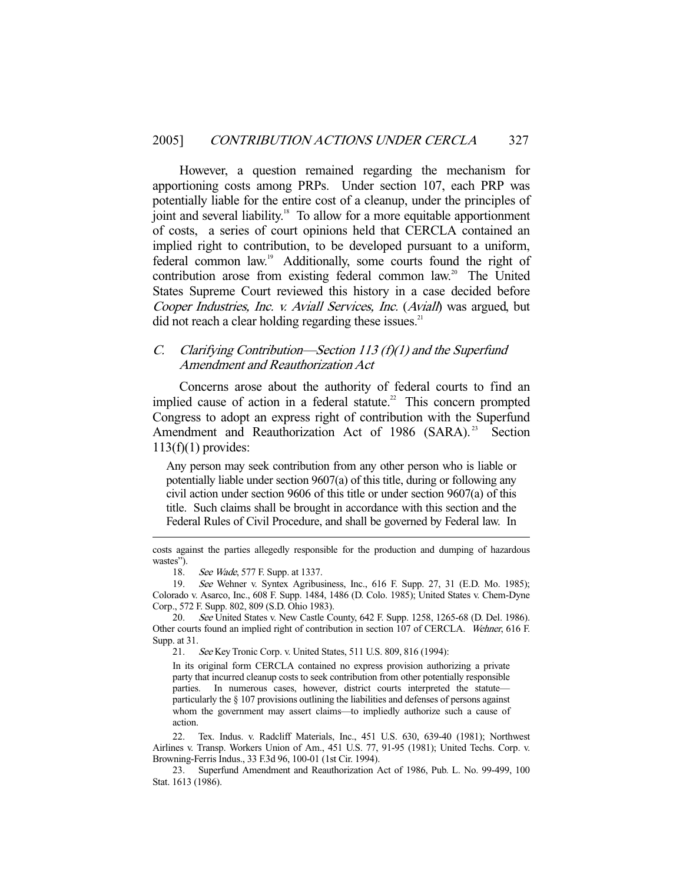However, a question remained regarding the mechanism for apportioning costs among PRPs. Under section 107, each PRP was potentially liable for the entire cost of a cleanup, under the principles of joint and several liability.<sup>18</sup> To allow for a more equitable apportionment of costs, a series of court opinions held that CERCLA contained an implied right to contribution, to be developed pursuant to a uniform, federal common law.19 Additionally, some courts found the right of contribution arose from existing federal common law.<sup>20</sup> The United States Supreme Court reviewed this history in a case decided before Cooper Industries, Inc. v. Aviall Services, Inc. (Aviall) was argued, but did not reach a clear holding regarding these issues. $21$ 

# C. Clarifying Contribution—Section 113 (f)(1) and the Superfund Amendment and Reauthorization Act

 Concerns arose about the authority of federal courts to find an implied cause of action in a federal statute.<sup>22</sup> This concern prompted Congress to adopt an express right of contribution with the Superfund Amendment and Reauthorization Act of 1986 (SARA).<sup>23</sup> Section  $113(f)(1)$  provides:

Any person may seek contribution from any other person who is liable or potentially liable under section 9607(a) of this title, during or following any civil action under section 9606 of this title or under section 9607(a) of this title. Such claims shall be brought in accordance with this section and the Federal Rules of Civil Procedure, and shall be governed by Federal law. In

18. See Wade, 577 F. Supp. at 1337.

-

20. See United States v. New Castle County, 642 F. Supp. 1258, 1265-68 (D. Del. 1986). Other courts found an implied right of contribution in section 107 of CERCLA. Wehner, 616 F. Supp. at 31.

21. See Key Tronic Corp. v. United States, 511 U.S. 809, 816 (1994):

In its original form CERCLA contained no express provision authorizing a private party that incurred cleanup costs to seek contribution from other potentially responsible parties. In numerous cases, however, district courts interpreted the statute particularly the § 107 provisions outlining the liabilities and defenses of persons against whom the government may assert claims—to impliedly authorize such a cause of action.

 22. Tex. Indus. v. Radcliff Materials, Inc., 451 U.S. 630, 639-40 (1981); Northwest Airlines v. Transp. Workers Union of Am., 451 U.S. 77, 91-95 (1981); United Techs. Corp. v. Browning-Ferris Indus., 33 F.3d 96, 100-01 (1st Cir. 1994).

costs against the parties allegedly responsible for the production and dumping of hazardous wastes").

 <sup>19.</sup> See Wehner v. Syntex Agribusiness, Inc., 616 F. Supp. 27, 31 (E.D. Mo. 1985); Colorado v. Asarco, Inc., 608 F. Supp. 1484, 1486 (D. Colo. 1985); United States v. Chem-Dyne Corp., 572 F. Supp. 802, 809 (S.D. Ohio 1983).

 <sup>23.</sup> Superfund Amendment and Reauthorization Act of 1986, Pub. L. No. 99-499, 100 Stat. 1613 (1986).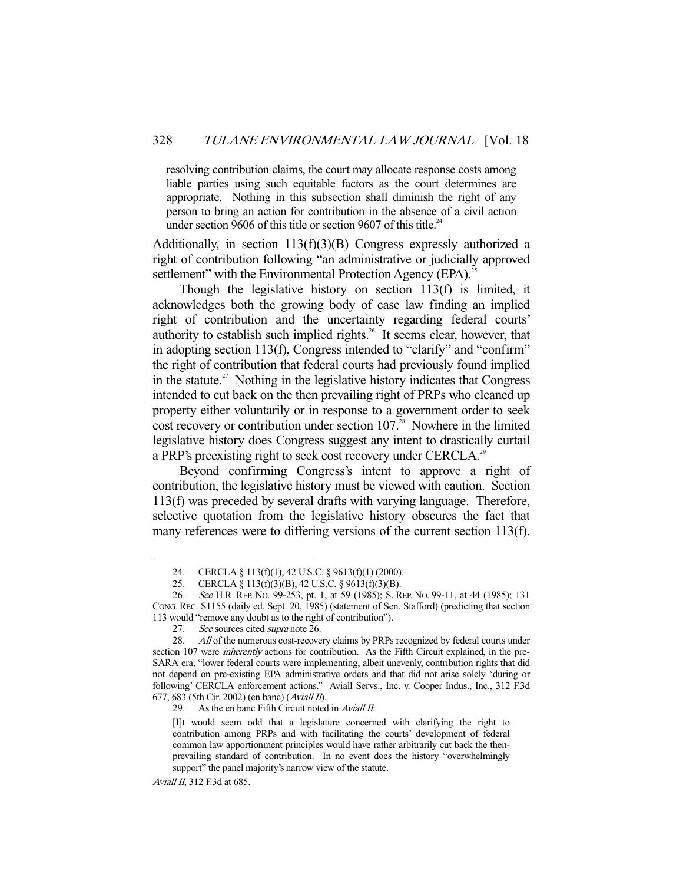resolving contribution claims, the court may allocate response costs among liable parties using such equitable factors as the court determines are appropriate. Nothing in this subsection shall diminish the right of any person to bring an action for contribution in the absence of a civil action under section 9606 of this title or section 9607 of this title. $24$ 

Additionally, in section  $113(f)(3)(B)$  Congress expressly authorized a right of contribution following "an administrative or judicially approved settlement" with the Environmental Protection Agency (EPA).<sup>25</sup>

 Though the legislative history on section 113(f) is limited, it acknowledges both the growing body of case law finding an implied right of contribution and the uncertainty regarding federal courts' authority to establish such implied rights.<sup>26</sup> It seems clear, however, that in adopting section 113(f), Congress intended to "clarify" and "confirm" the right of contribution that federal courts had previously found implied in the statute.<sup>27</sup> Nothing in the legislative history indicates that Congress intended to cut back on the then prevailing right of PRPs who cleaned up property either voluntarily or in response to a government order to seek cost recovery or contribution under section  $107<sup>28</sup>$  Nowhere in the limited legislative history does Congress suggest any intent to drastically curtail a PRP's preexisting right to seek cost recovery under CERCLA.<sup>29</sup>

 Beyond confirming Congress's intent to approve a right of contribution, the legislative history must be viewed with caution. Section 113(f) was preceded by several drafts with varying language. Therefore, selective quotation from the legislative history obscures the fact that many references were to differing versions of the current section 113(f).

 <sup>24.</sup> CERCLA § 113(f)(1), 42 U.S.C. § 9613(f)(1) (2000).

 <sup>25.</sup> CERCLA § 113(f)(3)(B), 42 U.S.C. § 9613(f)(3)(B).

<sup>26.</sup> See H.R. REP. No. 99-253, pt. 1, at 59 (1985); S. REP. No. 99-11, at 44 (1985); 131 CONG.REC. S1155 (daily ed. Sept. 20, 1985) (statement of Sen. Stafford) (predicting that section 113 would "remove any doubt as to the right of contribution").

<sup>27.</sup> See sources cited *supra* note 26.

<sup>28.</sup> All of the numerous cost-recovery claims by PRPs recognized by federal courts under section 107 were *inherently* actions for contribution. As the Fifth Circuit explained, in the pre-SARA era, "lower federal courts were implementing, albeit unevenly, contribution rights that did not depend on pre-existing EPA administrative orders and that did not arise solely 'during or following' CERCLA enforcement actions." Aviall Servs., Inc. v. Cooper Indus., Inc., 312 F.3d 677, 683 (5th Cir. 2002) (en banc) (Aviall II).

<sup>29.</sup> As the en banc Fifth Circuit noted in Aviall II:

<sup>[</sup>I]t would seem odd that a legislature concerned with clarifying the right to contribution among PRPs and with facilitating the courts' development of federal common law apportionment principles would have rather arbitrarily cut back the thenprevailing standard of contribution. In no event does the history "overwhelmingly support" the panel majority's narrow view of the statute.

Aviall II, 312 F.3d at 685.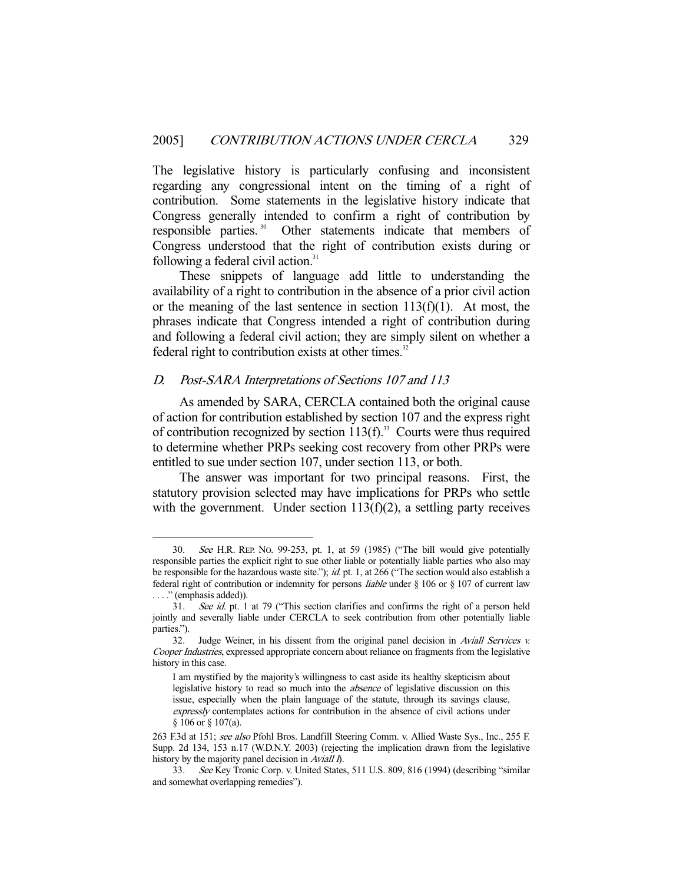The legislative history is particularly confusing and inconsistent regarding any congressional intent on the timing of a right of contribution. Some statements in the legislative history indicate that Congress generally intended to confirm a right of contribution by responsible parties. 30 Other statements indicate that members of Congress understood that the right of contribution exists during or following a federal civil action. $31$ 

 These snippets of language add little to understanding the availability of a right to contribution in the absence of a prior civil action or the meaning of the last sentence in section  $113(f)(1)$ . At most, the phrases indicate that Congress intended a right of contribution during and following a federal civil action; they are simply silent on whether a federal right to contribution exists at other times.<sup>32</sup>

# D. Post-SARA Interpretations of Sections 107 and 113

-

 As amended by SARA, CERCLA contained both the original cause of action for contribution established by section 107 and the express right of contribution recognized by section  $113(f)$ .<sup>33</sup> Courts were thus required to determine whether PRPs seeking cost recovery from other PRPs were entitled to sue under section 107, under section 113, or both.

 The answer was important for two principal reasons. First, the statutory provision selected may have implications for PRPs who settle with the government. Under section  $113(f)(2)$ , a settling party receives

 <sup>30.</sup> See H.R. REP. NO. 99-253, pt. 1, at 59 (1985) ("The bill would give potentially responsible parties the explicit right to sue other liable or potentially liable parties who also may be responsible for the hazardous waste site."); *id.* pt. 1, at 266 ("The section would also establish a federal right of contribution or indemnity for persons liable under § 106 or § 107 of current law . . . ." (emphasis added)).

 <sup>31.</sup> See id. pt. 1 at 79 ("This section clarifies and confirms the right of a person held jointly and severally liable under CERCLA to seek contribution from other potentially liable parties.").

<sup>32.</sup> Judge Weiner, in his dissent from the original panel decision in Aviall Services *.* Cooper Industries, expressed appropriate concern about reliance on fragments from the legislative history in this case.

I am mystified by the majority's willingness to cast aside its healthy skepticism about legislative history to read so much into the *absence* of legislative discussion on this issue, especially when the plain language of the statute, through its savings clause, expressly contemplates actions for contribution in the absence of civil actions under § 106 or § 107(a).

<sup>263</sup> F.3d at 151; see also Pfohl Bros. Landfill Steering Comm. v. Allied Waste Sys., Inc., 255 F. Supp. 2d 134, 153 n.17 (W.D.N.Y. 2003) (rejecting the implication drawn from the legislative history by the majority panel decision in Aviall  $\tilde{\eta}$ .

 <sup>33.</sup> See Key Tronic Corp. v. United States, 511 U.S. 809, 816 (1994) (describing "similar and somewhat overlapping remedies").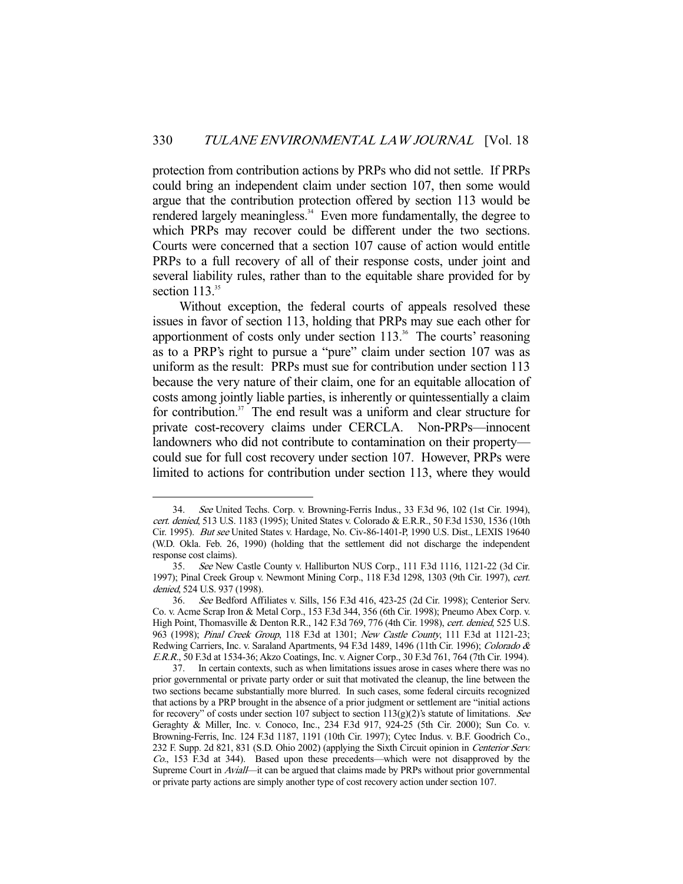protection from contribution actions by PRPs who did not settle. If PRPs could bring an independent claim under section 107, then some would argue that the contribution protection offered by section 113 would be rendered largely meaningless.<sup>34</sup> Even more fundamentally, the degree to which PRPs may recover could be different under the two sections. Courts were concerned that a section 107 cause of action would entitle PRPs to a full recovery of all of their response costs, under joint and several liability rules, rather than to the equitable share provided for by section  $113.^{35}$ 

 Without exception, the federal courts of appeals resolved these issues in favor of section 113, holding that PRPs may sue each other for apportionment of costs only under section 113.<sup>36</sup> The courts' reasoning as to a PRP's right to pursue a "pure" claim under section 107 was as uniform as the result: PRPs must sue for contribution under section 113 because the very nature of their claim, one for an equitable allocation of costs among jointly liable parties, is inherently or quintessentially a claim for contribution.<sup>37</sup> The end result was a uniform and clear structure for private cost-recovery claims under CERCLA. Non-PRPs—innocent landowners who did not contribute to contamination on their property could sue for full cost recovery under section 107. However, PRPs were limited to actions for contribution under section 113, where they would

 <sup>34.</sup> See United Techs. Corp. v. Browning-Ferris Indus., 33 F.3d 96, 102 (1st Cir. 1994), cert. denied, 513 U.S. 1183 (1995); United States v. Colorado & E.R.R., 50 F.3d 1530, 1536 (10th Cir. 1995). But see United States v. Hardage, No. Civ-86-1401-P, 1990 U.S. Dist., LEXIS 19640 (W.D. Okla. Feb. 26, 1990) (holding that the settlement did not discharge the independent response cost claims).

 <sup>35.</sup> See New Castle County v. Halliburton NUS Corp., 111 F.3d 1116, 1121-22 (3d Cir. 1997); Pinal Creek Group v. Newmont Mining Corp., 118 F.3d 1298, 1303 (9th Cir. 1997), cert. denied, 524 U.S. 937 (1998).

 <sup>36.</sup> See Bedford Affiliates v. Sills, 156 F.3d 416, 423-25 (2d Cir. 1998); Centerior Serv. Co. v. Acme Scrap Iron & Metal Corp., 153 F.3d 344, 356 (6th Cir. 1998); Pneumo Abex Corp. v. High Point, Thomasville & Denton R.R., 142 F.3d 769, 776 (4th Cir. 1998), cert. denied, 525 U.S. 963 (1998); Pinal Creek Group, 118 F.3d at 1301; New Castle County, 111 F.3d at 1121-23; Redwing Carriers, Inc. v. Saraland Apartments, 94 F.3d 1489, 1496 (11th Cir. 1996); Colorado & E.R.R., 50 F.3d at 1534-36; Akzo Coatings, Inc. v. Aigner Corp., 30 F.3d 761, 764 (7th Cir. 1994).

 <sup>37.</sup> In certain contexts, such as when limitations issues arose in cases where there was no prior governmental or private party order or suit that motivated the cleanup, the line between the two sections became substantially more blurred. In such cases, some federal circuits recognized that actions by a PRP brought in the absence of a prior judgment or settlement are "initial actions for recovery" of costs under section 107 subject to section  $113(g)(2)$ 's statute of limitations. See Geraghty & Miller, Inc. v. Conoco, Inc., 234 F.3d 917, 924-25 (5th Cir. 2000); Sun Co. v. Browning-Ferris, Inc. 124 F.3d 1187, 1191 (10th Cir. 1997); Cytec Indus. v. B.F. Goodrich Co., 232 F. Supp. 2d 821, 831 (S.D. Ohio 2002) (applying the Sixth Circuit opinion in Centerior Serv. Co., 153 F.3d at 344). Based upon these precedents—which were not disapproved by the Supreme Court in Aviall—it can be argued that claims made by PRPs without prior governmental or private party actions are simply another type of cost recovery action under section 107.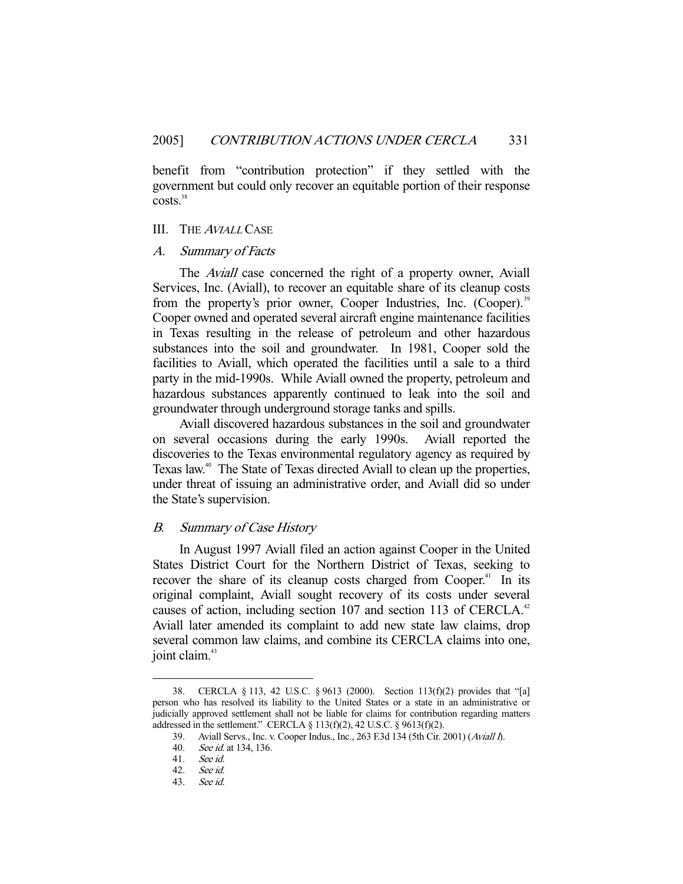benefit from "contribution protection" if they settled with the government but could only recover an equitable portion of their response  $costs.<sup>38</sup>$ 

#### III. THE <sup>A</sup>VIALL CASE

#### A. Summary of Facts

 The Aviall case concerned the right of a property owner, Aviall Services, Inc. (Aviall), to recover an equitable share of its cleanup costs from the property's prior owner, Cooper Industries, Inc. (Cooper).<sup>39</sup> Cooper owned and operated several aircraft engine maintenance facilities in Texas resulting in the release of petroleum and other hazardous substances into the soil and groundwater. In 1981, Cooper sold the facilities to Aviall, which operated the facilities until a sale to a third party in the mid-1990s. While Aviall owned the property, petroleum and hazardous substances apparently continued to leak into the soil and groundwater through underground storage tanks and spills.

 Aviall discovered hazardous substances in the soil and groundwater on several occasions during the early 1990s. Aviall reported the discoveries to the Texas environmental regulatory agency as required by Texas law.<sup>40</sup> The State of Texas directed Aviall to clean up the properties, under threat of issuing an administrative order, and Aviall did so under the State's supervision.

## B. Summary of Case History

 In August 1997 Aviall filed an action against Cooper in the United States District Court for the Northern District of Texas, seeking to recover the share of its cleanup costs charged from Cooper.<sup>41</sup> In its original complaint, Aviall sought recovery of its costs under several causes of action, including section 107 and section 113 of CERCLA.<sup>42</sup> Aviall later amended its complaint to add new state law claims, drop several common law claims, and combine its CERCLA claims into one, joint claim.<sup>43</sup>

 <sup>38.</sup> CERCLA § 113, 42 U.S.C. § 9613 (2000). Section 113(f)(2) provides that "[a] person who has resolved its liability to the United States or a state in an administrative or judicially approved settlement shall not be liable for claims for contribution regarding matters addressed in the settlement." CERCLA  $\S$  113(f)(2), 42 U.S.C.  $\S$  9613(f)(2).

 <sup>39.</sup> Aviall Servs., Inc. v. Cooper Indus., Inc., 263 F.3d 134 (5th Cir. 2001) (Aviall I).

 <sup>40.</sup> See id. at 134, 136.

 <sup>41.</sup> See id.

 <sup>42.</sup> See id.

 <sup>43.</sup> See id.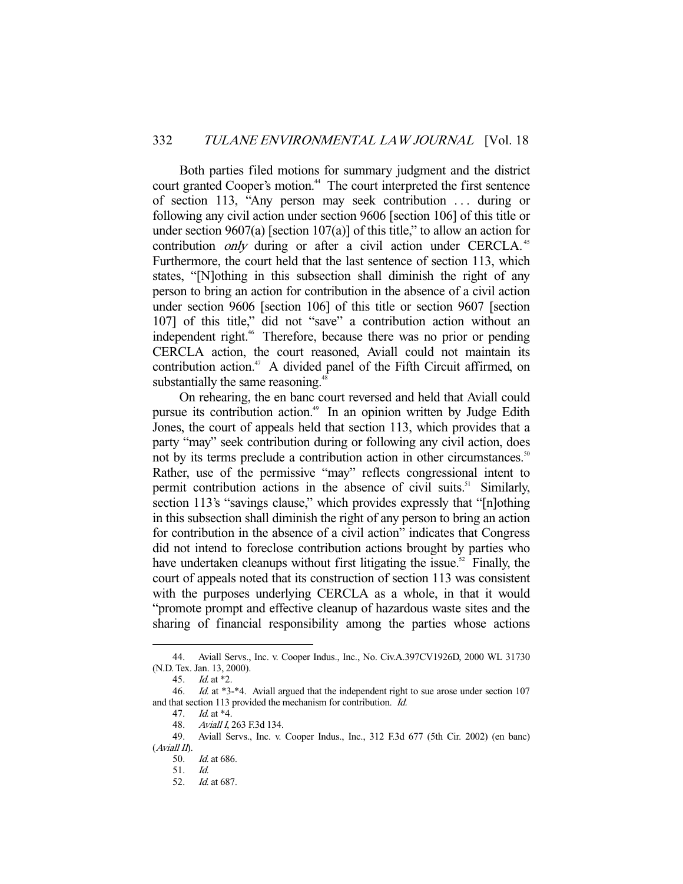Both parties filed motions for summary judgment and the district court granted Cooper's motion.<sup>44</sup> The court interpreted the first sentence of section 113, "Any person may seek contribution . . . during or following any civil action under section 9606 [section 106] of this title or under section 9607(a) [section 107(a)] of this title," to allow an action for contribution *only* during or after a civil action under CERCLA.<sup>45</sup> Furthermore, the court held that the last sentence of section 113, which states, "[N]othing in this subsection shall diminish the right of any person to bring an action for contribution in the absence of a civil action under section 9606 [section 106] of this title or section 9607 [section 107] of this title," did not "save" a contribution action without an independent right.<sup>46</sup> Therefore, because there was no prior or pending CERCLA action, the court reasoned, Aviall could not maintain its contribution action.<sup>47</sup> A divided panel of the Fifth Circuit affirmed, on substantially the same reasoning.<sup>48</sup>

 On rehearing, the en banc court reversed and held that Aviall could pursue its contribution action.<sup>49</sup> In an opinion written by Judge Edith Jones, the court of appeals held that section 113, which provides that a party "may" seek contribution during or following any civil action, does not by its terms preclude a contribution action in other circumstances.<sup>50</sup> Rather, use of the permissive "may" reflects congressional intent to permit contribution actions in the absence of civil suits.<sup>51</sup> Similarly, section 113's "savings clause," which provides expressly that "[n]othing in this subsection shall diminish the right of any person to bring an action for contribution in the absence of a civil action" indicates that Congress did not intend to foreclose contribution actions brought by parties who have undertaken cleanups without first litigating the issue.<sup>52</sup> Finally, the court of appeals noted that its construction of section 113 was consistent with the purposes underlying CERCLA as a whole, in that it would "promote prompt and effective cleanup of hazardous waste sites and the sharing of financial responsibility among the parties whose actions

 <sup>44.</sup> Aviall Servs., Inc. v. Cooper Indus., Inc., No. Civ.A.397CV1926D, 2000 WL 31730 (N.D. Tex. Jan. 13, 2000).

 <sup>45.</sup> Id. at \*2.

 <sup>46.</sup> Id. at \*3-\*4. Aviall argued that the independent right to sue arose under section 107 and that section 113 provided the mechanism for contribution. Id.

 <sup>47.</sup> Id. at \*4.

<sup>48.</sup> Aviall I, 263 F.3d 134.

 <sup>49.</sup> Aviall Servs., Inc. v. Cooper Indus., Inc., 312 F.3d 677 (5th Cir. 2002) (en banc)  $(A$ viall  $I$  $\Lambda$ .

 <sup>50.</sup> Id. at 686.

 <sup>51.</sup> Id.

 <sup>52.</sup> Id. at 687.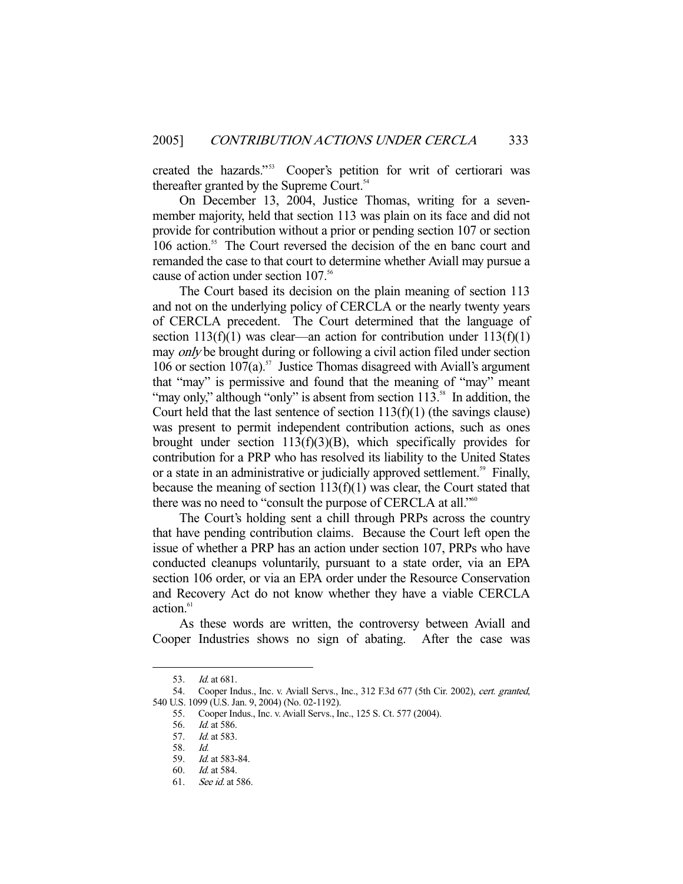created the hazards."<sup>53</sup> Cooper's petition for writ of certiorari was thereafter granted by the Supreme Court.<sup>54</sup>

 On December 13, 2004, Justice Thomas, writing for a sevenmember majority, held that section 113 was plain on its face and did not provide for contribution without a prior or pending section 107 or section 106 action.<sup>55</sup> The Court reversed the decision of the en banc court and remanded the case to that court to determine whether Aviall may pursue a cause of action under section 107.<sup>56</sup>

 The Court based its decision on the plain meaning of section 113 and not on the underlying policy of CERCLA or the nearly twenty years of CERCLA precedent. The Court determined that the language of section  $113(f)(1)$  was clear—an action for contribution under  $113(f)(1)$ may *only* be brought during or following a civil action filed under section 106 or section  $107(a)$ .<sup>57</sup> Justice Thomas disagreed with Aviall's argument that "may" is permissive and found that the meaning of "may" meant "may only," although "only" is absent from section  $113$ .<sup>58</sup> In addition, the Court held that the last sentence of section  $113(f)(1)$  (the savings clause) was present to permit independent contribution actions, such as ones brought under section  $113(f)(3)(B)$ , which specifically provides for contribution for a PRP who has resolved its liability to the United States or a state in an administrative or judicially approved settlement.<sup>59</sup> Finally, because the meaning of section 113(f)(1) was clear, the Court stated that there was no need to "consult the purpose of CERCLA at all."<sup>60</sup>

 The Court's holding sent a chill through PRPs across the country that have pending contribution claims. Because the Court left open the issue of whether a PRP has an action under section 107, PRPs who have conducted cleanups voluntarily, pursuant to a state order, via an EPA section 106 order, or via an EPA order under the Resource Conservation and Recovery Act do not know whether they have a viable CERCLA action.<sup>61</sup>

 As these words are written, the controversy between Aviall and Cooper Industries shows no sign of abating. After the case was

<sup>53.</sup> *Id.* at 681.

<sup>54.</sup> Cooper Indus., Inc. v. Aviall Servs., Inc., 312 F.3d 677 (5th Cir. 2002), cert. granted, 540 U.S. 1099 (U.S. Jan. 9, 2004) (No. 02-1192).

 <sup>55.</sup> Cooper Indus., Inc. v. Aviall Servs., Inc., 125 S. Ct. 577 (2004).

<sup>56.</sup> *Id.* at 586.

<sup>57.</sup> *Id.* at 583.

 <sup>58.</sup> Id.

 <sup>59.</sup> Id. at 583-84.

 <sup>60.</sup> Id. at 584.

 <sup>61.</sup> See id. at 586.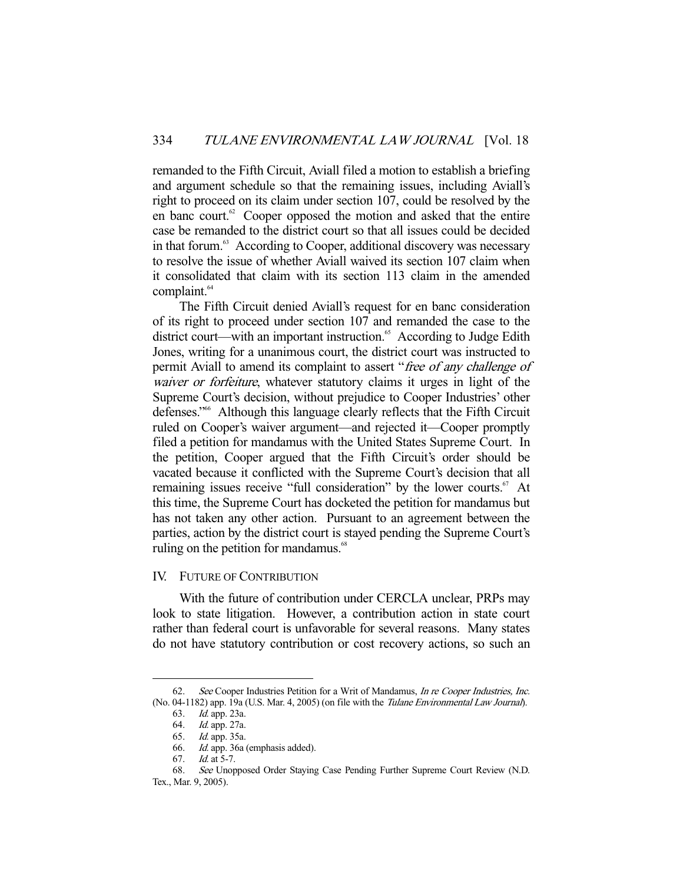remanded to the Fifth Circuit, Aviall filed a motion to establish a briefing and argument schedule so that the remaining issues, including Aviall's right to proceed on its claim under section 107, could be resolved by the en banc court. $62$  Cooper opposed the motion and asked that the entire case be remanded to the district court so that all issues could be decided in that forum.<sup>63</sup> According to Cooper, additional discovery was necessary to resolve the issue of whether Aviall waived its section 107 claim when it consolidated that claim with its section 113 claim in the amended complaint.<sup>64</sup>

 The Fifth Circuit denied Aviall's request for en banc consideration of its right to proceed under section 107 and remanded the case to the district court—with an important instruction.<sup>65</sup> According to Judge Edith Jones, writing for a unanimous court, the district court was instructed to permit Aviall to amend its complaint to assert "free of any challenge of waiver or forfeiture, whatever statutory claims it urges in light of the Supreme Court's decision, without prejudice to Cooper Industries' other defenses."66 Although this language clearly reflects that the Fifth Circuit ruled on Cooper's waiver argument—and rejected it—Cooper promptly filed a petition for mandamus with the United States Supreme Court. In the petition, Cooper argued that the Fifth Circuit's order should be vacated because it conflicted with the Supreme Court's decision that all remaining issues receive "full consideration" by the lower courts.<sup>67</sup> At this time, the Supreme Court has docketed the petition for mandamus but has not taken any other action. Pursuant to an agreement between the parties, action by the district court is stayed pending the Supreme Court's ruling on the petition for mandamus.<sup>68</sup>

#### IV. FUTURE OF CONTRIBUTION

 With the future of contribution under CERCLA unclear, PRPs may look to state litigation. However, a contribution action in state court rather than federal court is unfavorable for several reasons. Many states do not have statutory contribution or cost recovery actions, so such an

<sup>62.</sup> See Cooper Industries Petition for a Writ of Mandamus, *In re Cooper Industries, Inc.* (No. 04-1182) app. 19a (U.S. Mar. 4, 2005) (on file with the Tulane Environmental Law Journal).

 <sup>63.</sup> Id. app. 23a.

<sup>64.</sup> *Id.* app. 27a.

 <sup>65.</sup> Id. app. 35a. 66. Id. app. 36a (emphasis added).

 <sup>67.</sup> Id. at 5-7.

 <sup>68.</sup> See Unopposed Order Staying Case Pending Further Supreme Court Review (N.D. Tex., Mar. 9, 2005).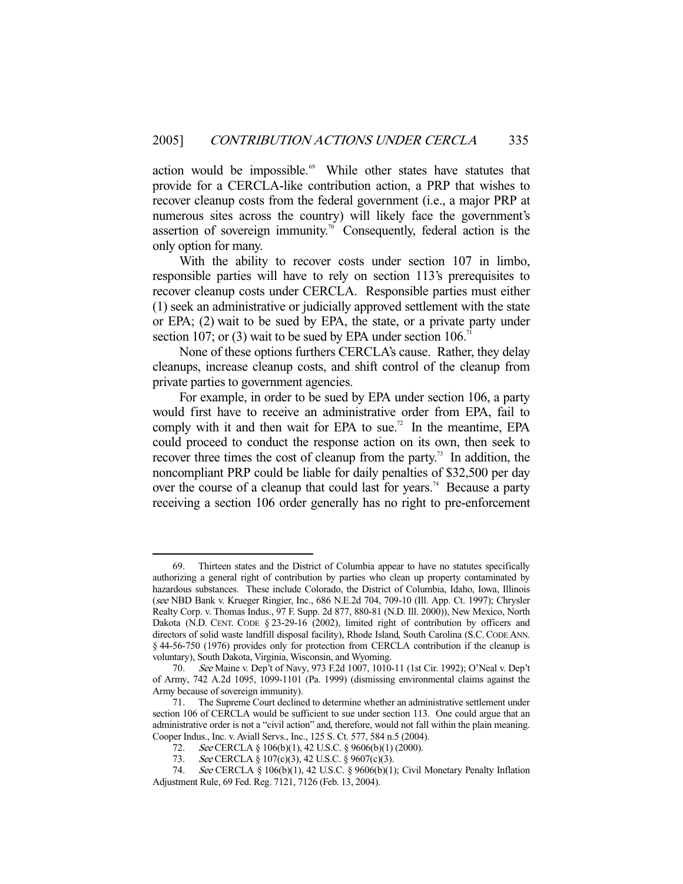action would be impossible.<sup>69</sup> While other states have statutes that provide for a CERCLA-like contribution action, a PRP that wishes to recover cleanup costs from the federal government (i.e., a major PRP at numerous sites across the country) will likely face the government's assertion of sovereign immunity.<sup>70</sup> Consequently, federal action is the only option for many.

 With the ability to recover costs under section 107 in limbo, responsible parties will have to rely on section 113's prerequisites to recover cleanup costs under CERCLA. Responsible parties must either (1) seek an administrative or judicially approved settlement with the state or EPA; (2) wait to be sued by EPA, the state, or a private party under section 107; or (3) wait to be sued by EPA under section  $106$ <sup>71</sup>

 None of these options furthers CERCLA's cause. Rather, they delay cleanups, increase cleanup costs, and shift control of the cleanup from private parties to government agencies.

 For example, in order to be sued by EPA under section 106, a party would first have to receive an administrative order from EPA, fail to comply with it and then wait for EPA to sue.<sup>72</sup> In the meantime, EPA could proceed to conduct the response action on its own, then seek to recover three times the cost of cleanup from the party.<sup>73</sup> In addition, the noncompliant PRP could be liable for daily penalties of \$32,500 per day over the course of a cleanup that could last for years.<sup>74</sup> Because a party receiving a section 106 order generally has no right to pre-enforcement

 <sup>69.</sup> Thirteen states and the District of Columbia appear to have no statutes specifically authorizing a general right of contribution by parties who clean up property contaminated by hazardous substances. These include Colorado, the District of Columbia, Idaho, Iowa, Illinois (see NBD Bank v. Krueger Ringier, Inc., 686 N.E.2d 704, 709-10 (Ill. App. Ct. 1997); Chrysler Realty Corp. v. Thomas Indus., 97 F. Supp. 2d 877, 880-81 (N.D. Ill. 2000)), New Mexico, North Dakota (N.D. CENT. CODE § 23-29-16 (2002), limited right of contribution by officers and directors of solid waste landfill disposal facility), Rhode Island, South Carolina (S.C.CODE ANN. § 44-56-750 (1976) provides only for protection from CERCLA contribution if the cleanup is voluntary), South Dakota, Virginia, Wisconsin, and Wyoming.

 <sup>70.</sup> See Maine v. Dep't of Navy, 973 F.2d 1007, 1010-11 (1st Cir. 1992); O'Neal v. Dep't of Army, 742 A.2d 1095, 1099-1101 (Pa. 1999) (dismissing environmental claims against the Army because of sovereign immunity).

 <sup>71.</sup> The Supreme Court declined to determine whether an administrative settlement under section 106 of CERCLA would be sufficient to sue under section 113. One could argue that an administrative order is not a "civil action" and, therefore, would not fall within the plain meaning. Cooper Indus., Inc. v. Aviall Servs., Inc., 125 S. Ct. 577, 584 n.5 (2004).

<sup>72.</sup> See CERCLA § 106(b)(1), 42 U.S.C. § 9606(b)(1) (2000).

<sup>73.</sup> See CERCLA § 107(c)(3), 42 U.S.C. § 9607(c)(3).

 <sup>74.</sup> See CERCLA § 106(b)(1), 42 U.S.C. § 9606(b)(1); Civil Monetary Penalty Inflation Adjustment Rule, 69 Fed. Reg. 7121, 7126 (Feb. 13, 2004).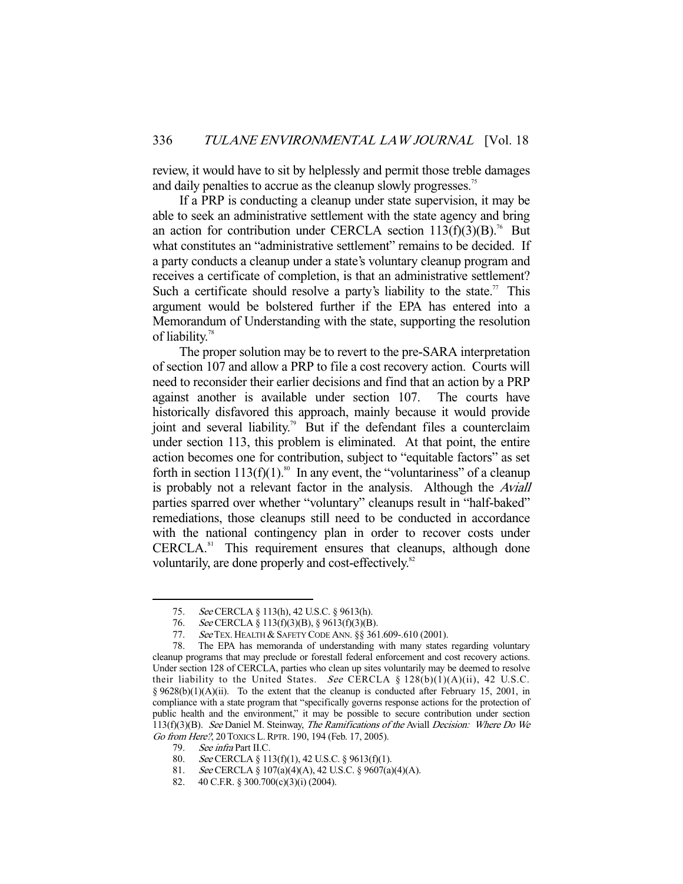review, it would have to sit by helplessly and permit those treble damages and daily penalties to accrue as the cleanup slowly progresses.<sup>75</sup>

 If a PRP is conducting a cleanup under state supervision, it may be able to seek an administrative settlement with the state agency and bring an action for contribution under CERCLA section  $113(f)(3)(B)$ .<sup>76</sup> But what constitutes an "administrative settlement" remains to be decided. If a party conducts a cleanup under a state's voluntary cleanup program and receives a certificate of completion, is that an administrative settlement? Such a certificate should resolve a party's liability to the state.<sup>77</sup> This argument would be bolstered further if the EPA has entered into a Memorandum of Understanding with the state, supporting the resolution of liability.<sup>78</sup>

The proper solution may be to revert to the pre-SARA interpretation of section 107 and allow a PRP to file a cost recovery action. Courts will need to reconsider their earlier decisions and find that an action by a PRP against another is available under section 107. The courts have historically disfavored this approach, mainly because it would provide joint and several liability.<sup>79</sup> But if the defendant files a counterclaim under section 113, this problem is eliminated. At that point, the entire action becomes one for contribution, subject to "equitable factors" as set forth in section  $113(f)(1)$ .<sup>80</sup> In any event, the "voluntariness" of a cleanup is probably not a relevant factor in the analysis. Although the Aviall parties sparred over whether "voluntary" cleanups result in "half-baked" remediations, those cleanups still need to be conducted in accordance with the national contingency plan in order to recover costs under CERCLA.<sup>81</sup> This requirement ensures that cleanups, although done voluntarily, are done properly and cost-effectively.<sup>82</sup>

 <sup>75.</sup> See CERCLA § 113(h), 42 U.S.C. § 9613(h).

 <sup>76.</sup> See CERCLA § 113(f)(3)(B), § 9613(f)(3)(B).

<sup>77.</sup> See TEX. HEALTH & SAFETY CODE ANN. §§ 361.609-.610 (2001).

 <sup>78.</sup> The EPA has memoranda of understanding with many states regarding voluntary cleanup programs that may preclude or forestall federal enforcement and cost recovery actions. Under section 128 of CERCLA, parties who clean up sites voluntarily may be deemed to resolve their liability to the United States. See CERCLA §  $128(b)(1)(A)(ii)$ , 42 U.S.C. § 9628(b)(1)(A)(ii). To the extent that the cleanup is conducted after February 15, 2001, in compliance with a state program that "specifically governs response actions for the protection of public health and the environment," it may be possible to secure contribution under section 113(f)(3)(B). See Daniel M. Steinway, The Ramifications of the Aviall Decision: Where Do We Go from Here?, 20 TOXICS L.RPTR. 190, 194 (Feb. 17, 2005).

 <sup>79.</sup> See infra Part II.C.

<sup>80.</sup> See CERCLA § 113(f)(1), 42 U.S.C. § 9613(f)(1).

<sup>81.</sup> See CERCLA § 107(a)(4)(A), 42 U.S.C. § 9607(a)(4)(A).

 <sup>82. 40</sup> C.F.R. § 300.700(c)(3)(i) (2004).